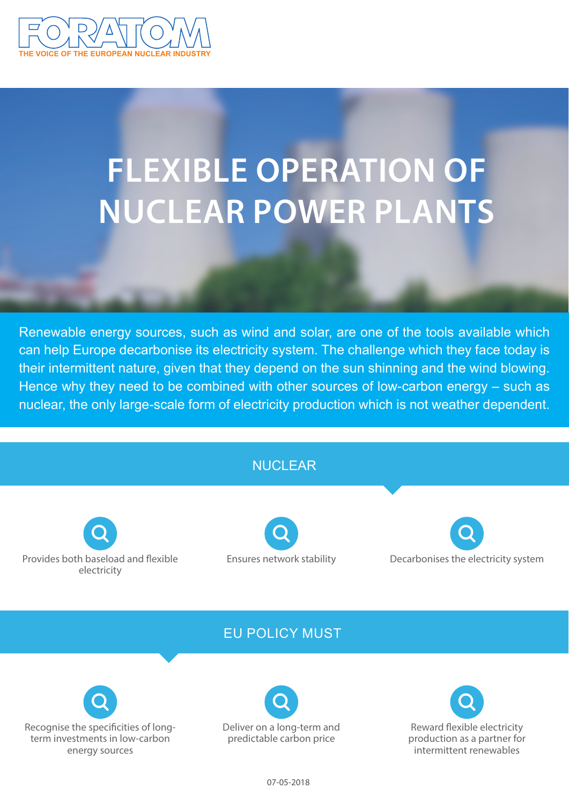

# **FLEXIBLE OPERATION OF NUCLEAR POWER PLANTS**

Renewable energy sources, such as wind and solar, are one of the tools available which can help Europe decarbonise its electricity system. The challenge which they face today is their intermittent nature, given that they depend on the sun shinning and the wind blowing. Hence why they need to be combined with other sources of low-carbon energy – such as nuclear, the only large-scale form of electricity production which is not weather dependent.

# NUCLEAR

Provides both baseload and flexible electricity

Ensures network stability

Decarbonises the electricity system

# EU POLICY MUST





Reward flexible electricity production as a partner for intermittent renewables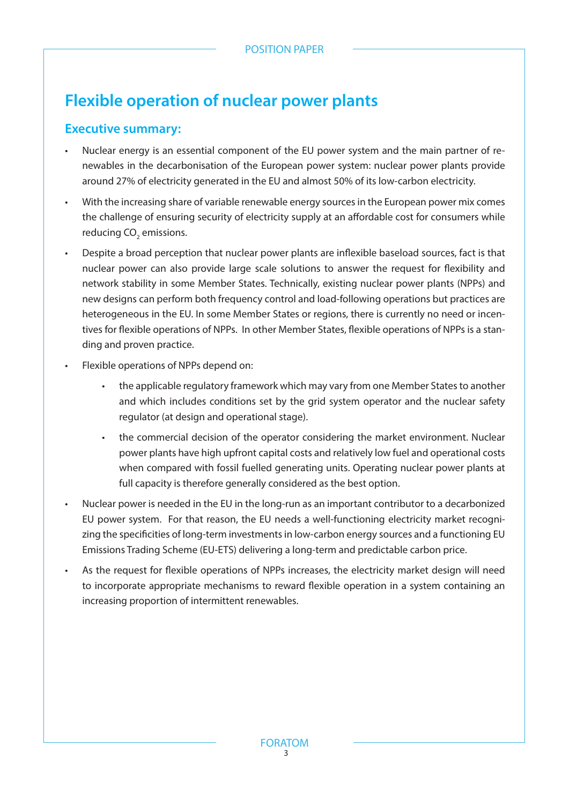# **Flexible operation of nuclear power plants**

## **Executive summary:**

- Nuclear energy is an essential component of the EU power system and the main partner of renewables in the decarbonisation of the European power system: nuclear power plants provide around 27% of electricity generated in the EU and almost 50% of its low-carbon electricity.
- With the increasing share of variable renewable energy sources in the European power mix comes the challenge of ensuring security of electricity supply at an affordable cost for consumers while reducing CO<sub>2</sub> emissions.
- Despite a broad perception that nuclear power plants are inflexible baseload sources, fact is that nuclear power can also provide large scale solutions to answer the request for flexibility and network stability in some Member States. Technically, existing nuclear power plants (NPPs) and new designs can perform both frequency control and load-following operations but practices are heterogeneous in the EU. In some Member States or regions, there is currently no need or incentives for flexible operations of NPPs. In other Member States, flexible operations of NPPs is a standing and proven practice.
- Flexible operations of NPPs depend on:
	- the applicable regulatory framework which may vary from one Member States to another and which includes conditions set by the grid system operator and the nuclear safety regulator (at design and operational stage).
	- the commercial decision of the operator considering the market environment. Nuclear power plants have high upfront capital costs and relatively low fuel and operational costs when compared with fossil fuelled generating units. Operating nuclear power plants at full capacity is therefore generally considered as the best option.
- Nuclear power is needed in the EU in the long-run as an important contributor to a decarbonized EU power system. For that reason, the EU needs a well-functioning electricity market recognizing the specificities of long-term investments in low-carbon energy sources and a functioning EU Emissions Trading Scheme (EU-ETS) delivering a long-term and predictable carbon price.
- As the request for flexible operations of NPPs increases, the electricity market design will need to incorporate appropriate mechanisms to reward flexible operation in a system containing an increasing proportion of intermittent renewables.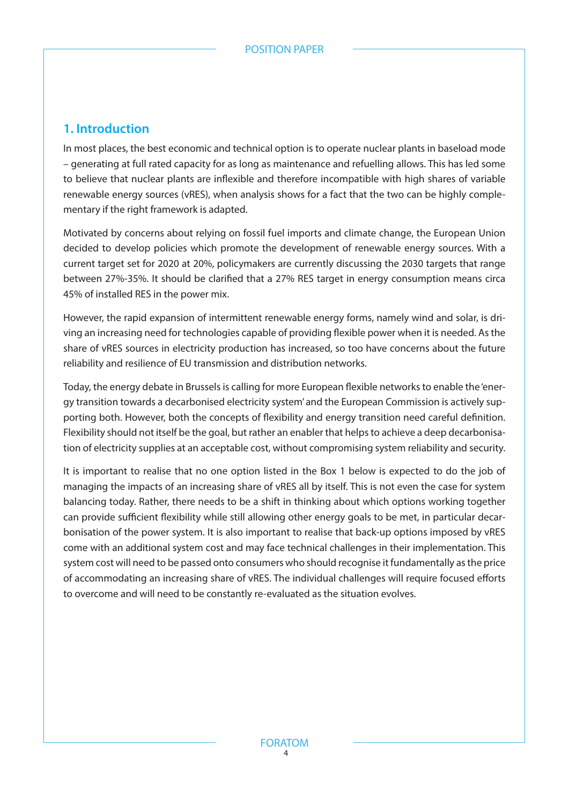## **1. Introduction**

In most places, the best economic and technical option is to operate nuclear plants in baseload mode – generating at full rated capacity for as long as maintenance and refuelling allows. This has led some to believe that nuclear plants are inflexible and therefore incompatible with high shares of variable renewable energy sources (vRES), when analysis shows for a fact that the two can be highly complementary if the right framework is adapted.

Motivated by concerns about relying on fossil fuel imports and climate change, the European Union decided to develop policies which promote the development of renewable energy sources. With a current target set for 2020 at 20%, policymakers are currently discussing the 2030 targets that range between 27%-35%. It should be clarified that a 27% RES target in energy consumption means circa 45% of installed RES in the power mix.

However, the rapid expansion of intermittent renewable energy forms, namely wind and solar, is driving an increasing need for technologies capable of providing flexible power when it is needed. As the share of vRES sources in electricity production has increased, so too have concerns about the future reliability and resilience of EU transmission and distribution networks.

Today, the energy debate in Brussels is calling for more European flexible networks to enable the 'energy transition towards a decarbonised electricity system' and the European Commission is actively supporting both. However, both the concepts of flexibility and energy transition need careful definition. Flexibility should not itself be the goal, but rather an enabler that helps to achieve a deep decarbonisation of electricity supplies at an acceptable cost, without compromising system reliability and security.

It is important to realise that no one option listed in the Box 1 below is expected to do the job of managing the impacts of an increasing share of vRES all by itself. This is not even the case for system balancing today. Rather, there needs to be a shift in thinking about which options working together can provide sufficient flexibility while still allowing other energy goals to be met, in particular decarbonisation of the power system. It is also important to realise that back-up options imposed by vRES come with an additional system cost and may face technical challenges in their implementation. This system cost will need to be passed onto consumers who should recognise it fundamentally as the price of accommodating an increasing share of vRES. The individual challenges will require focused efforts to overcome and will need to be constantly re-evaluated as the situation evolves.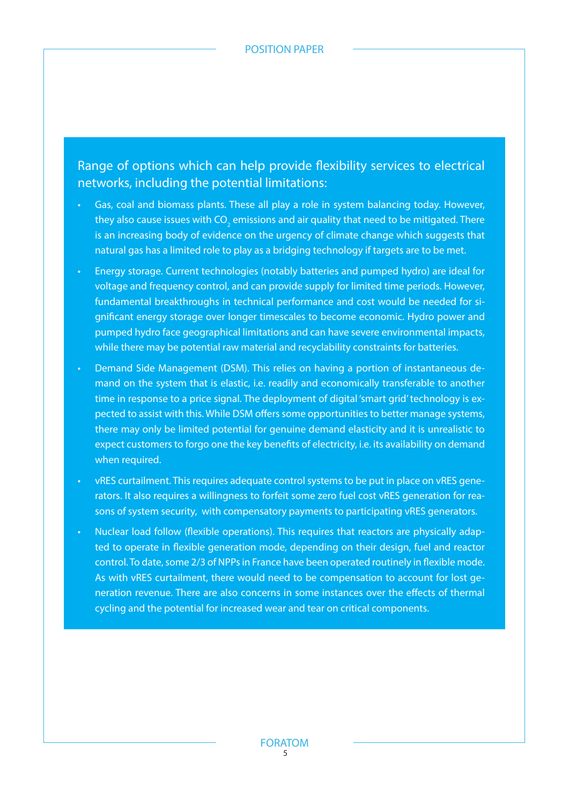Range of options which can help provide flexibility services to electrical networks, including the potential limitations:

- Gas, coal and biomass plants. These all play a role in system balancing today. However, they also cause issues with CO $_{\textrm{\tiny{2}}}$  emissions and air quality that need to be mitigated. There is an increasing body of evidence on the urgency of climate change which suggests that natural gas has a limited role to play as a bridging technology if targets are to be met.
- Energy storage. Current technologies (notably batteries and pumped hydro) are ideal for voltage and frequency control, and can provide supply for limited time periods. However, fundamental breakthroughs in technical performance and cost would be needed for significant energy storage over longer timescales to become economic. Hydro power and pumped hydro face geographical limitations and can have severe environmental impacts, while there may be potential raw material and recyclability constraints for batteries.
- Demand Side Management (DSM). This relies on having a portion of instantaneous demand on the system that is elastic, i.e. readily and economically transferable to another time in response to a price signal. The deployment of digital 'smart grid' technology is expected to assist with this. While DSM offers some opportunities to better manage systems, there may only be limited potential for genuine demand elasticity and it is unrealistic to expect customers to forgo one the key benefits of electricity, i.e. its availability on demand when required.
- vRES curtailment. This requires adequate control systems to be put in place on vRES generators. It also requires a willingness to forfeit some zero fuel cost vRES generation for reasons of system security, with compensatory payments to participating vRES generators.
- Nuclear load follow (flexible operations). This requires that reactors are physically adapted to operate in flexible generation mode, depending on their design, fuel and reactor control. To date, some 2/3 of NPPs in France have been operated routinely in flexible mode. As with vRES curtailment, there would need to be compensation to account for lost generation revenue. There are also concerns in some instances over the effects of thermal cycling and the potential for increased wear and tear on critical components.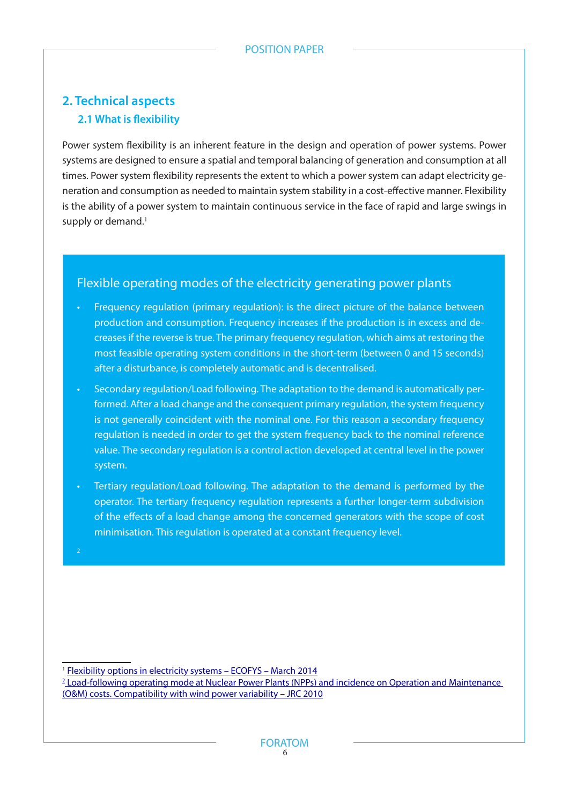# **2. Technical aspects 2.1 What is flexibility**

Power system flexibility is an inherent feature in the design and operation of power systems. Power systems are designed to ensure a spatial and temporal balancing of generation and consumption at all times. Power system flexibility represents the extent to which a power system can adapt electricity generation and consumption as needed to maintain system stability in a cost-effective manner. Flexibility is the ability of a power system to maintain continuous service in the face of rapid and large swings in supply or demand.<sup>1</sup>

#### Flexible operating modes of the electricity generating power plants

- Frequency regulation (primary regulation): is the direct picture of the balance between production and consumption. Frequency increases if the production is in excess and decreases if the reverse is true. The primary frequency regulation, which aims at restoring the most feasible operating system conditions in the short-term (between 0 and 15 seconds) after a disturbance, is completely automatic and is decentralised.
- Secondary regulation/Load following. The adaptation to the demand is automatically performed. After a load change and the consequent primary regulation, the system frequency is not generally coincident with the nominal one. For this reason a secondary frequency regulation is needed in order to get the system frequency back to the nominal reference value. The secondary regulation is a control action developed at central level in the power system.
- Tertiary regulation/Load following. The adaptation to the demand is performed by the operator. The tertiary frequency regulation represents a further longer-term subdivision of the effects of a load change among the concerned generators with the scope of cost minimisation. This regulation is operated at a constant frequency level.

<sup>1</sup> Flexibility options in electricity systems - ECOFYS - March 2014

<sup>2</sup> Load-following operating mode at Nuclear Power Plants (NPPs) and incidence on Operation and Maintenance (O&M) costs. Compatibility with wind power variability – JRC 2010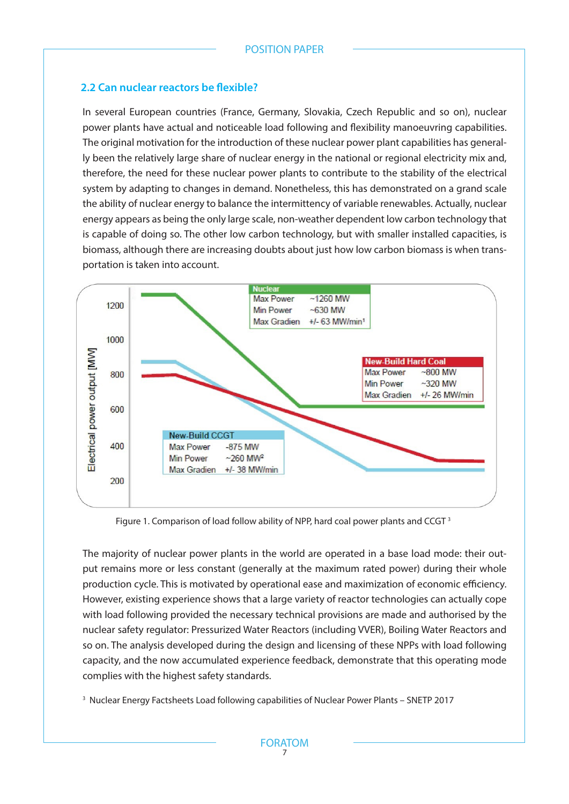#### **2.2 Can nuclear reactors be flexible?**

In several European countries (France, Germany, Slovakia, Czech Republic and so on), nuclear power plants have actual and noticeable load following and flexibility manoeuvring capabilities. The original motivation for the introduction of these nuclear power plant capabilities has generally been the relatively large share of nuclear energy in the national or regional electricity mix and, therefore, the need for these nuclear power plants to contribute to the stability of the electrical system by adapting to changes in demand. Nonetheless, this has demonstrated on a grand scale the ability of nuclear energy to balance the intermittency of variable renewables. Actually, nuclear energy appears as being the only large scale, non-weather dependent low carbon technology that is capable of doing so. The other low carbon technology, but with smaller installed capacities, is biomass, although there are increasing doubts about just how low carbon biomass is when transportation is taken into account.



Figure 1. Comparison of load follow ability of NPP, hard coal power plants and CCGT 3

The majority of nuclear power plants in the world are operated in a base load mode: their output remains more or less constant (generally at the maximum rated power) during their whole production cycle. This is motivated by operational ease and maximization of economic efficiency. However, existing experience shows that a large variety of reactor technologies can actually cope with load following provided the necessary technical provisions are made and authorised by the nuclear safety regulator: Pressurized Water Reactors (including VVER), Boiling Water Reactors and so on. The analysis developed during the design and licensing of these NPPs with load following capacity, and the now accumulated experience feedback, demonstrate that this operating mode complies with the highest safety standards.

3 Nuclear Energy Factsheets Load following capabilities of Nuclear Power Plants – SNETP 2017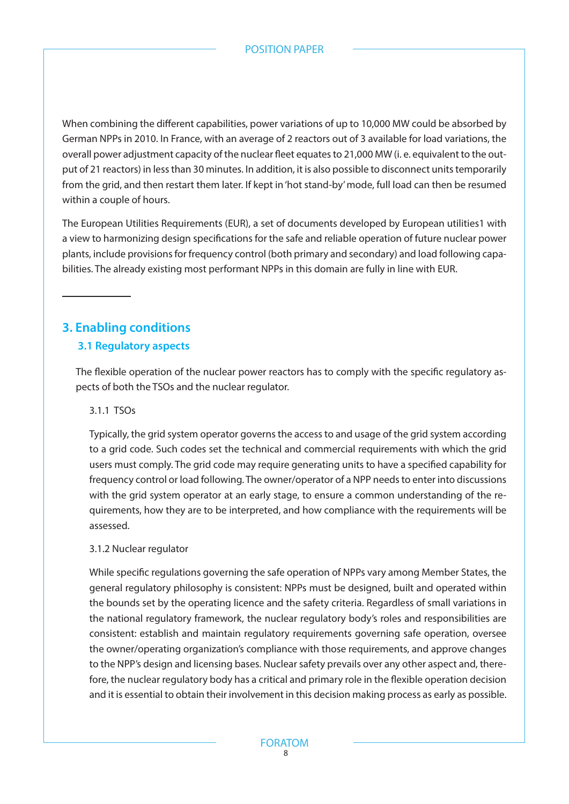#### POSITION PAPER

When combining the different capabilities, power variations of up to 10,000 MW could be absorbed by German NPPs in 2010. In France, with an average of 2 reactors out of 3 available for load variations, the overall power adjustment capacity of the nuclear fleet equates to 21,000 MW (i. e. equivalent to the output of 21 reactors) in less than 30 minutes. In addition, it is also possible to disconnect units temporarily from the grid, and then restart them later. If kept in 'hot stand-by' mode, full load can then be resumed within a couple of hours.

The European Utilities Requirements (EUR), a set of documents developed by European utilities1 with a view to harmonizing design specifications for the safe and reliable operation of future nuclear power plants, include provisions for frequency control (both primary and secondary) and load following capabilities. The already existing most performant NPPs in this domain are fully in line with EUR.

# **3. Enabling conditions**

### **3.1 Regulatory aspects**

The flexible operation of the nuclear power reactors has to comply with the specific regulatory aspects of both the TSOs and the nuclear regulator.

#### 3.1.1 TSOs

Typically, the grid system operator governs the access to and usage of the grid system according to a grid code. Such codes set the technical and commercial requirements with which the grid users must comply. The grid code may require generating units to have a specified capability for frequency control or load following. The owner/operator of a NPP needs to enter into discussions with the grid system operator at an early stage, to ensure a common understanding of the requirements, how they are to be interpreted, and how compliance with the requirements will be assessed.

#### 3.1.2 Nuclear regulator

While specific regulations governing the safe operation of NPPs vary among Member States, the general regulatory philosophy is consistent: NPPs must be designed, built and operated within the bounds set by the operating licence and the safety criteria. Regardless of small variations in the national regulatory framework, the nuclear regulatory body's roles and responsibilities are consistent: establish and maintain regulatory requirements governing safe operation, oversee the owner/operating organization's compliance with those requirements, and approve changes to the NPP's design and licensing bases. Nuclear safety prevails over any other aspect and, therefore, the nuclear regulatory body has a critical and primary role in the flexible operation decision and it is essential to obtain their involvement in this decision making process as early as possible.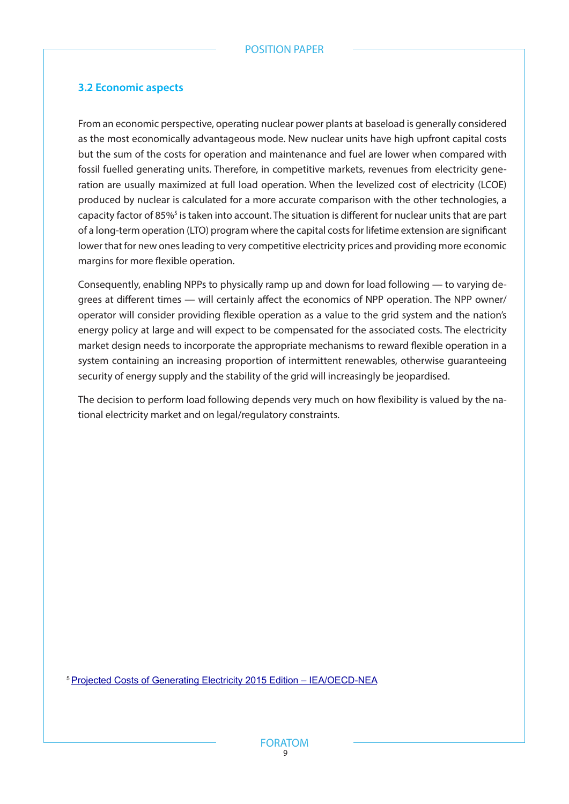#### **3.2 Economic aspects**

From an economic perspective, operating nuclear power plants at baseload is generally considered as the most economically advantageous mode. New nuclear units have high upfront capital costs but the sum of the costs for operation and maintenance and fuel are lower when compared with fossil fuelled generating units. Therefore, in competitive markets, revenues from electricity generation are usually maximized at full load operation. When the levelized cost of electricity (LCOE) produced by nuclear is calculated for a more accurate comparison with the other technologies, a capacity factor of 85%<sup>5</sup> is taken into account. The situation is different for nuclear units that are part of a long-term operation (LTO) program where the capital costs for lifetime extension are significant lower that for new ones leading to very competitive electricity prices and providing more economic margins for more flexible operation.

Consequently, enabling NPPs to physically ramp up and down for load following — to varying degrees at different times — will certainly affect the economics of NPP operation. The NPP owner/ operator will consider providing flexible operation as a value to the grid system and the nation's energy policy at large and will expect to be compensated for the associated costs. The electricity market design needs to incorporate the appropriate mechanisms to reward flexible operation in a system containing an increasing proportion of intermittent renewables, otherwise guaranteeing security of energy supply and the stability of the grid will increasingly be jeopardised.

The decision to perform load following depends very much on how flexibility is valued by the national electricity market and on legal/regulatory constraints.

5 Projected Costs of Generating Electricity 2015 Edition – IEA/OECD-NEA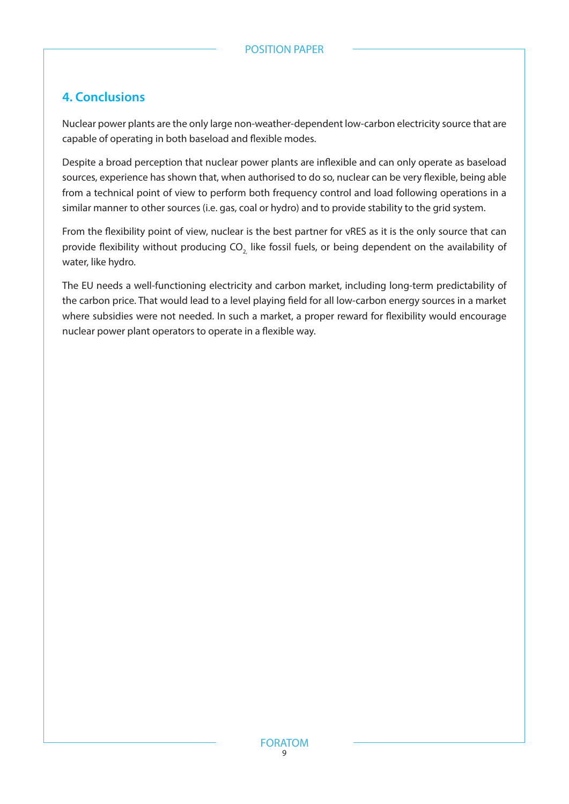## **4. Conclusions**

Nuclear power plants are the only large non-weather-dependent low-carbon electricity source that are capable of operating in both baseload and flexible modes.

Despite a broad perception that nuclear power plants are inflexible and can only operate as baseload sources, experience has shown that, when authorised to do so, nuclear can be very flexible, being able from a technical point of view to perform both frequency control and load following operations in a similar manner to other sources (i.e. gas, coal or hydro) and to provide stability to the grid system.

From the flexibility point of view, nuclear is the best partner for vRES as it is the only source that can provide flexibility without producing CO<sub>2</sub> like fossil fuels, or being dependent on the availability of water, like hydro.

The EU needs a well-functioning electricity and carbon market, including long-term predictability of the carbon price. That would lead to a level playing field for all low-carbon energy sources in a market where subsidies were not needed. In such a market, a proper reward for flexibility would encourage nuclear power plant operators to operate in a flexible way.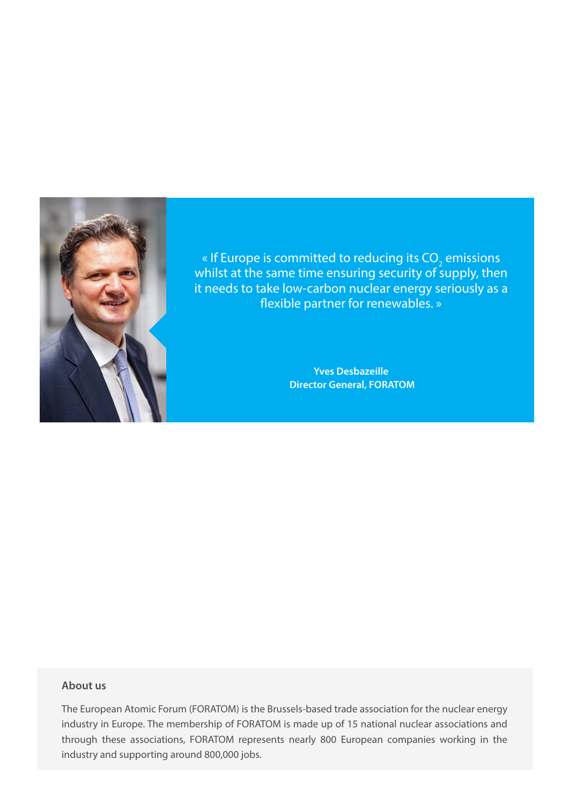

« If Europe is committed to reducing its  $\mathsf{CO}_2$  emissions whilst at the same time ensuring security of supply, then it needs to take low-carbon nuclear energy seriously as a flexible partner for renewables. »

> **Yves Desbazeille Director General, FORATOM**

#### **About us**

The European Atomic Forum (FORATOM) is the Brussels-based trade association for the nuclear energy industry in Europe. The membership of FORATOM is made up of 15 national nuclear associations and through these associations, FORATOM represents nearly 800 European companies working in the industry and supporting around 800,000 jobs.